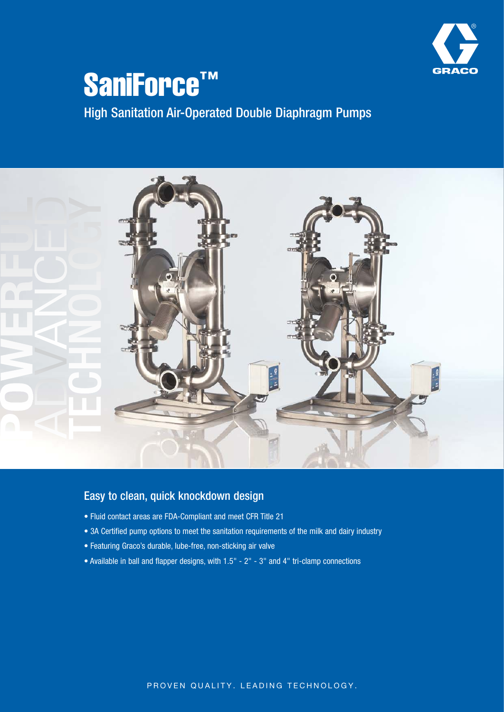

# SaniForce™ High Sanitation Air-Operated Double Diaphragm Pumps



### Easy to clean, quick knockdown design

- Fluid contact areas are FDA-Compliant and meet CFR Title 21
- 3A Certified pump options to meet the sanitation requirements of the milk and dairy industry
- Featuring Graco's durable, lube-free, non-sticking air valve
- Available in ball and flapper designs, with 1.5" 2" 3" and 4" tri-clamp connections